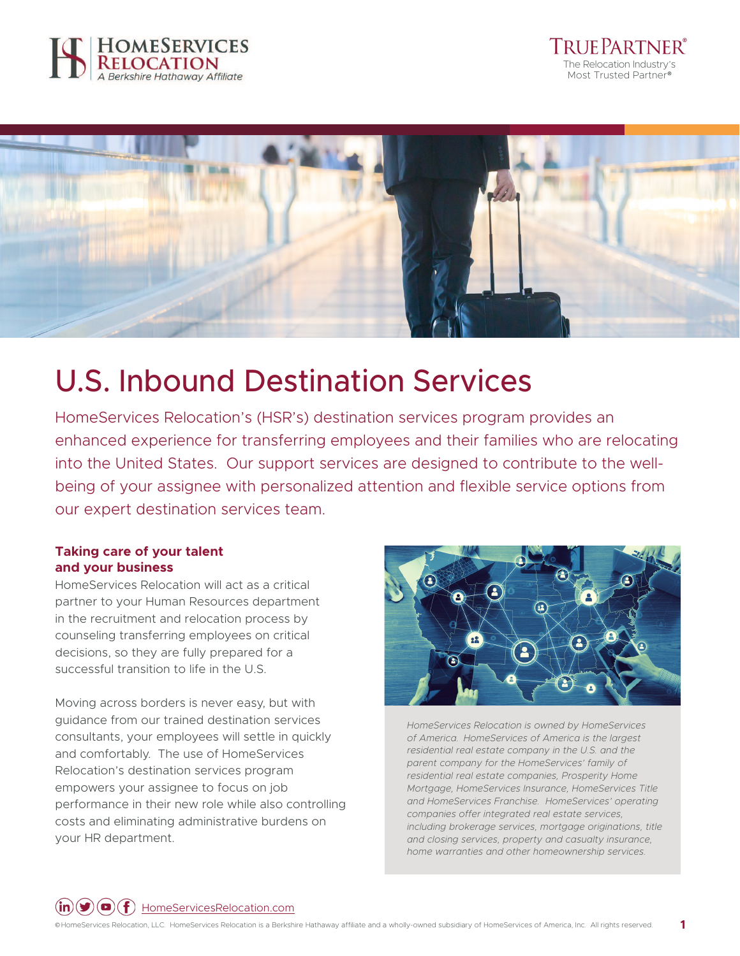





# U.S. Inbound Destination Services

HomeServices Relocation's (HSR's) destination services program provides an enhanced experience for transferring employees and their families who are relocating into the United States. Our support services are designed to contribute to the wellbeing of your assignee with personalized attention and flexible service options from our expert destination services team.

### **Taking care of your talent and your business**

HomeServices Relocation will act as a critical partner to your Human Resources department in the recruitment and relocation process by counseling transferring employees on critical decisions, so they are fully prepared for a successful transition to life in the U.S.

Moving across borders is never easy, but with guidance from our trained destination services consultants, your employees will settle in quickly and comfortably. The use of HomeServices Relocation's destination services program empowers your assignee to focus on job performance in their new role while also controlling costs and eliminating administrative burdens on your HR department.



*HomeServices Relocation is owned by HomeServices of America. HomeServices of America is the largest residential real estate company in the U.S. and the parent company for the HomeServices' family of residential real estate companies, Prosperity Home Mortgage, HomeServices Insurance, HomeServices Title and HomeServices Franchise. HomeServices' operating companies offer integrated real estate services, including brokerage services, mortgage originations, title and closing services, property and casualty insurance, home warranties and other homeownership services.*

 $(\mathbf{in})(\blacktriangleright)(\blacktriangleright)$  HomeServicesRelocation.com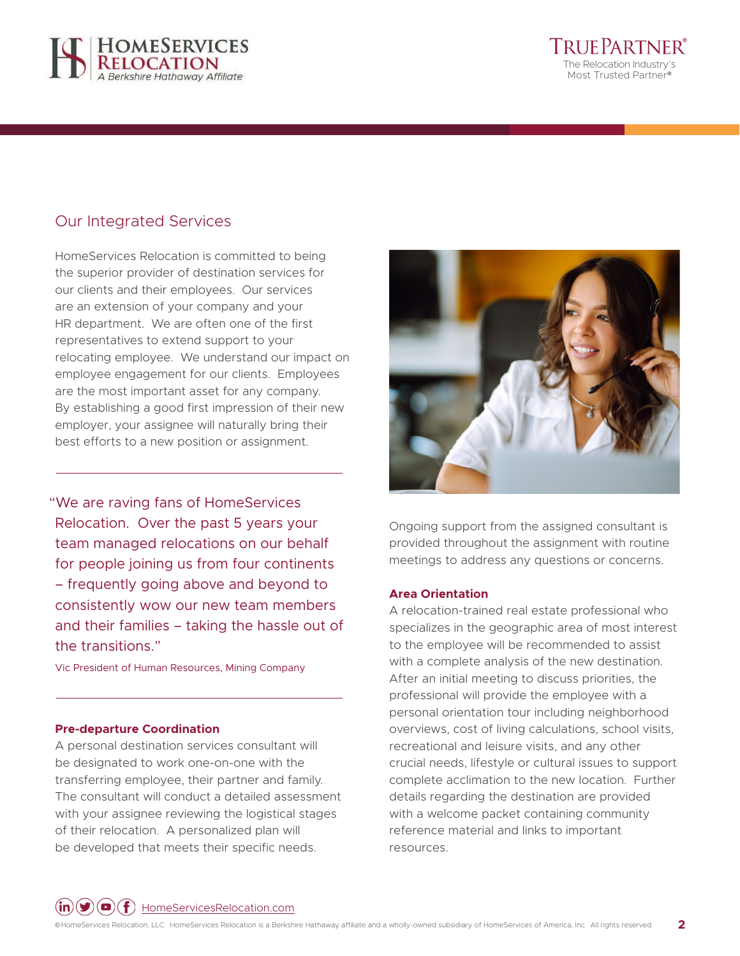



## Our Integrated Services

HomeServices Relocation is committed to being the superior provider of destination services for our clients and their employees. Our services are an extension of your company and your HR department. We are often one of the first representatives to extend support to your relocating employee. We understand our impact on employee engagement for our clients. Employees are the most important asset for any company. By establishing a good first impression of their new employer, your assignee will naturally bring their best efforts to a new position or assignment.

"We are raving fans of HomeServices Relocation. Over the past 5 years your team managed relocations on our behalf for people joining us from four continents – frequently going above and beyond to consistently wow our new team members and their families – taking the hassle out of the transitions."

Vic President of Human Resources, Mining Company

#### **Pre-departure Coordination**

A personal destination services consultant will be designated to work one-on-one with the transferring employee, their partner and family. The consultant will conduct a detailed assessment with your assignee reviewing the logistical stages of their relocation. A personalized plan will be developed that meets their specific needs.



Ongoing support from the assigned consultant is provided throughout the assignment with routine meetings to address any questions or concerns.

#### **Area Orientation**

A relocation-trained real estate professional who specializes in the geographic area of most interest to the employee will be recommended to assist with a complete analysis of the new destination. After an initial meeting to discuss priorities, the professional will provide the employee with a personal orientation tour including neighborhood overviews, cost of living calculations, school visits, recreational and leisure visits, and any other crucial needs, lifestyle or cultural issues to support complete acclimation to the new location. Further details regarding the destination are provided with a welcome packet containing community reference material and links to important resources.